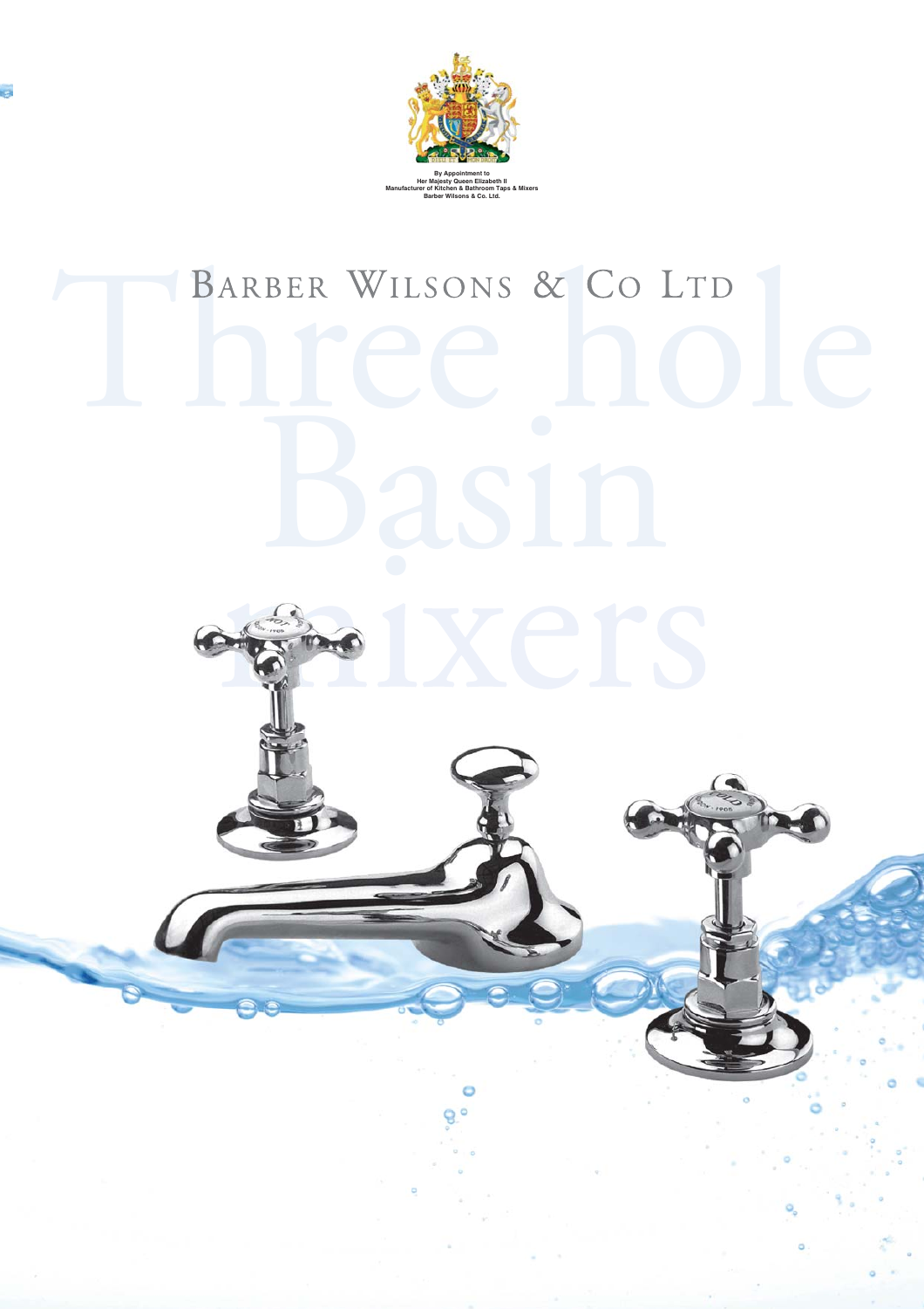

## BARBER WILSONS & CO LTD

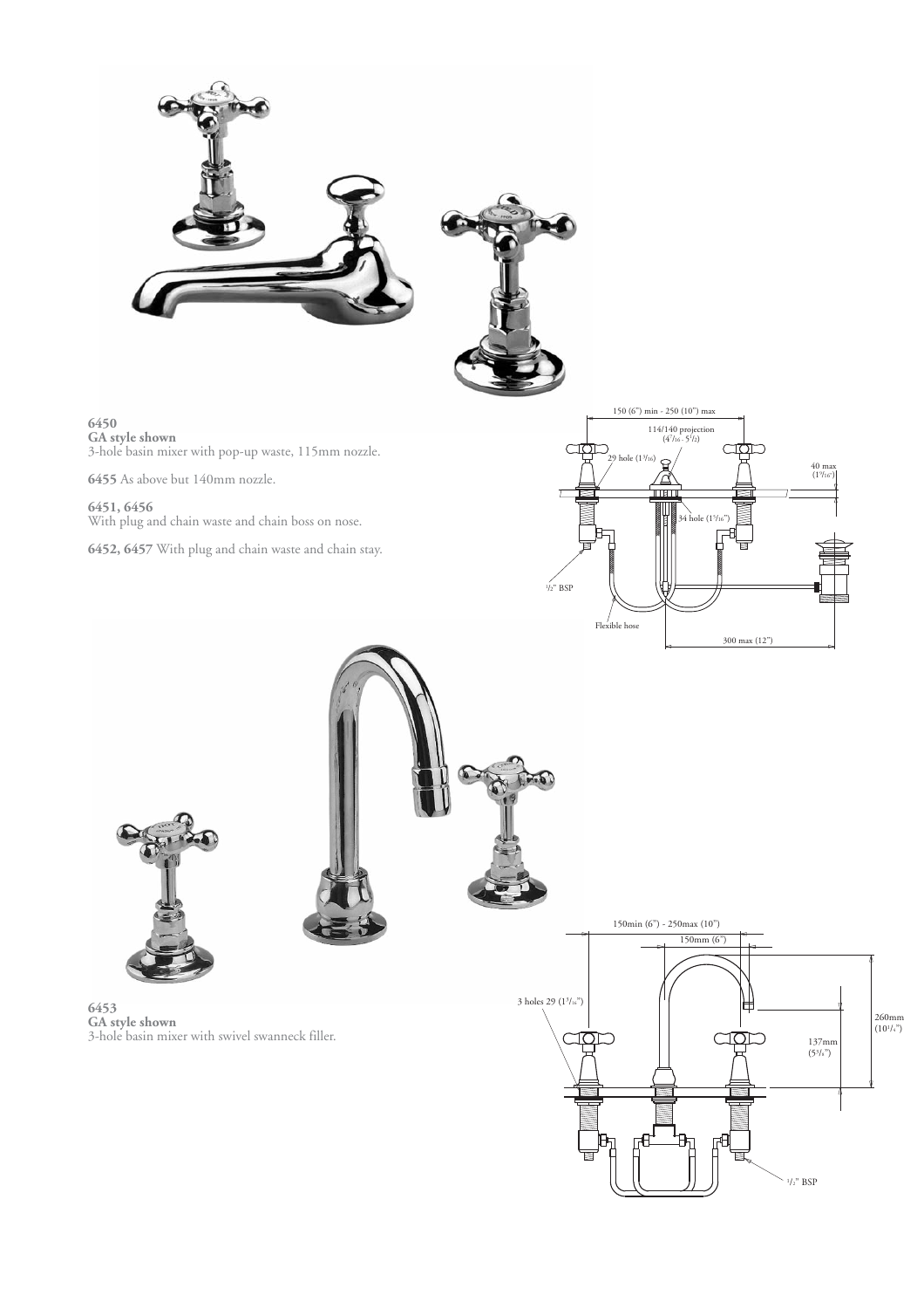



**6450 GA style shown** 3-hole basin mixer with pop-up waste, 115mm nozzle.

**6455** As above but 140mm nozzle.

**6451, 6456** With plug and chain waste and chain boss on nose.

**6452, 6457** With plug and chain waste and chain stay.



 $\frac{1}{2}$ " BSP

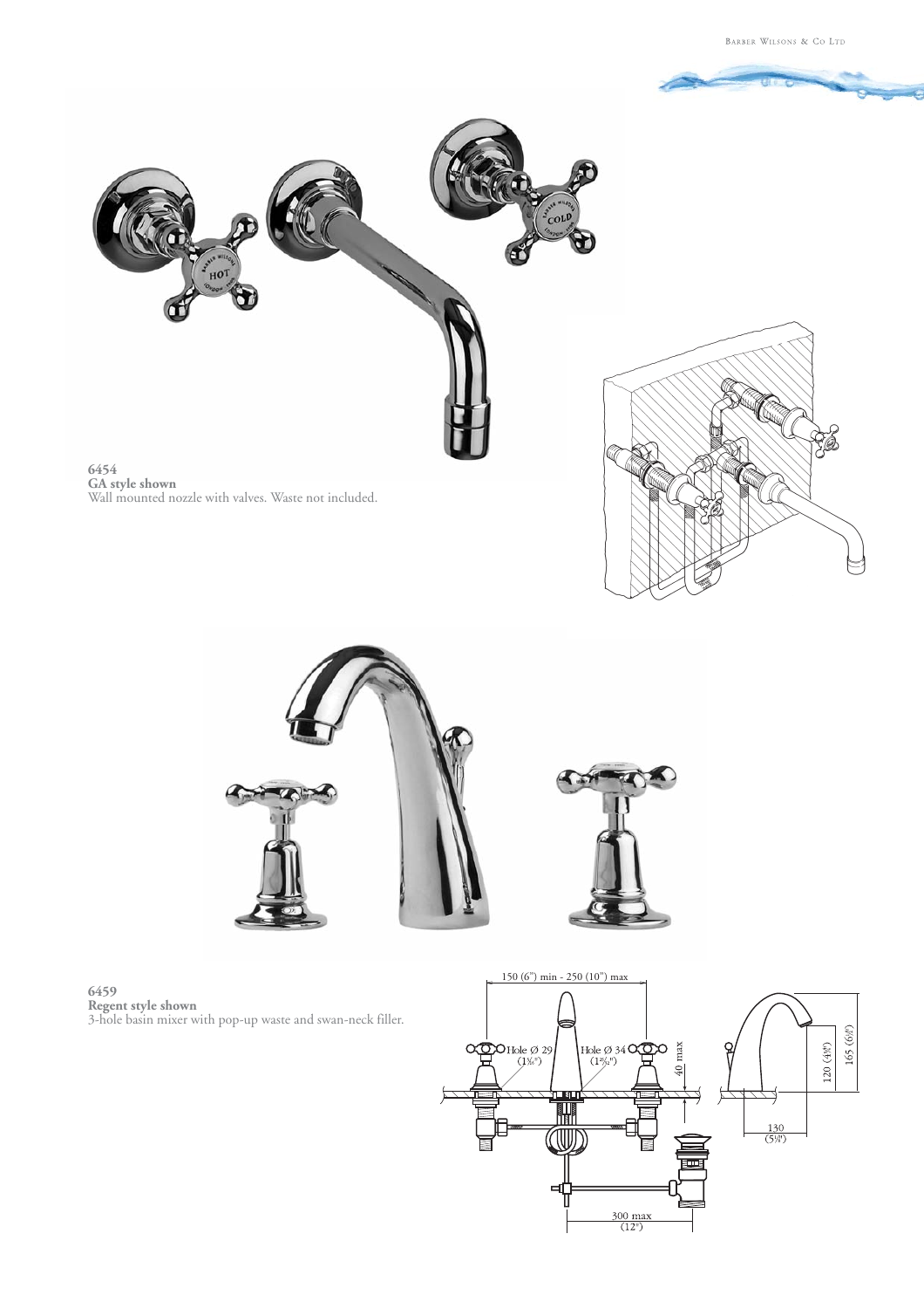





**6459 Regent style shown** 3-hole basin mixer with pop-up waste and swan-neck filler.